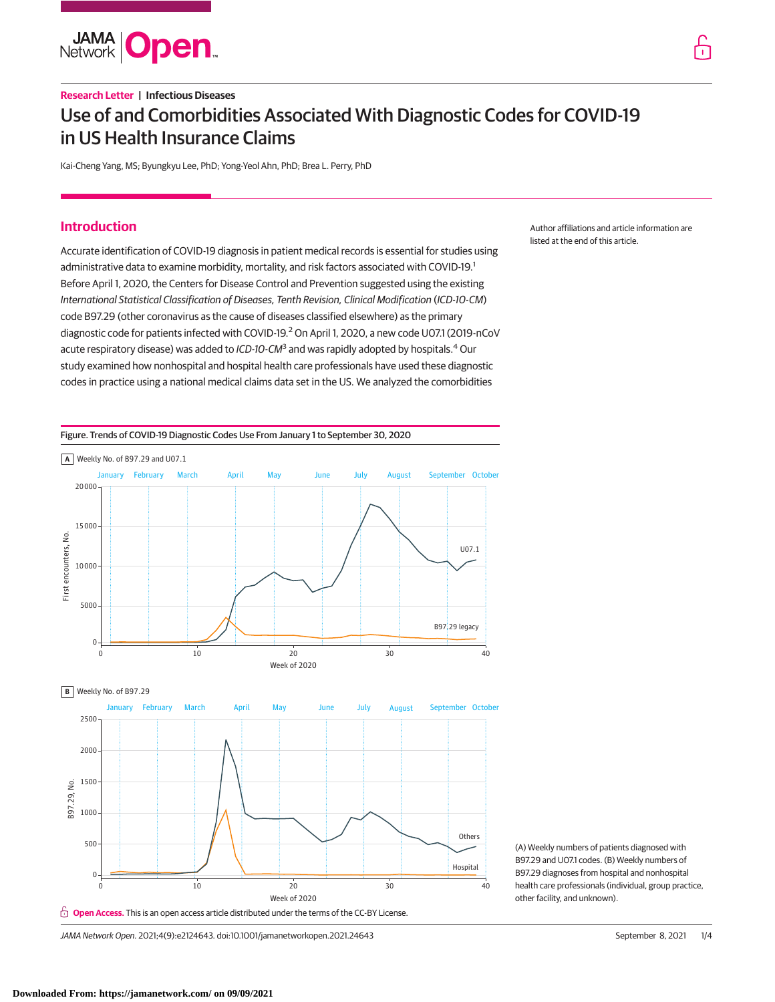

# **Research Letter | Infectious Diseases** Use of and Comorbidities Associated With Diagnostic Codes for COVID-19 in US Health Insurance Claims

Kai-Cheng Yang, MS; Byungkyu Lee, PhD; Yong-Yeol Ahn, PhD; Brea L. Perry, PhD

# **Introduction**

Accurate identification of COVID-19 diagnosis in patient medical records is essential for studies using administrative data to examine morbidity, mortality, and risk factors associated with COVID-19.<sup>1</sup> Before April 1, 2020, the Centers for Disease Control and Prevention suggested using the existing International Statistical Classification of Diseases, Tenth Revision, Clinical Modification (ICD-10-CM) code B97.29 (other coronavirus as the cause of diseases classified elsewhere) as the primary diagnostic code for patients infected with COVID-19.<sup>2</sup> On April 1, 2020, a new code U07.1 (2019-nCoV acute respiratory disease) was added to ICD-10-CM<sup>3</sup> and was rapidly adopted by hospitals.<sup>4</sup> Our study examined how nonhospital and hospital health care professionals have used these diagnostic codes in practice using a national medical claims data set in the US. We analyzed the comorbidities

Author affiliations and article information are listed at the end of this article.





**B** Weekly No. of B97.29



(A) Weekly numbers of patients diagnosed with B97.29 and U07.1 codes. (B) Weekly numbers of B97.29 diagnoses from hospital and nonhospital health care professionals (individual, group practice, other facility, and unknown).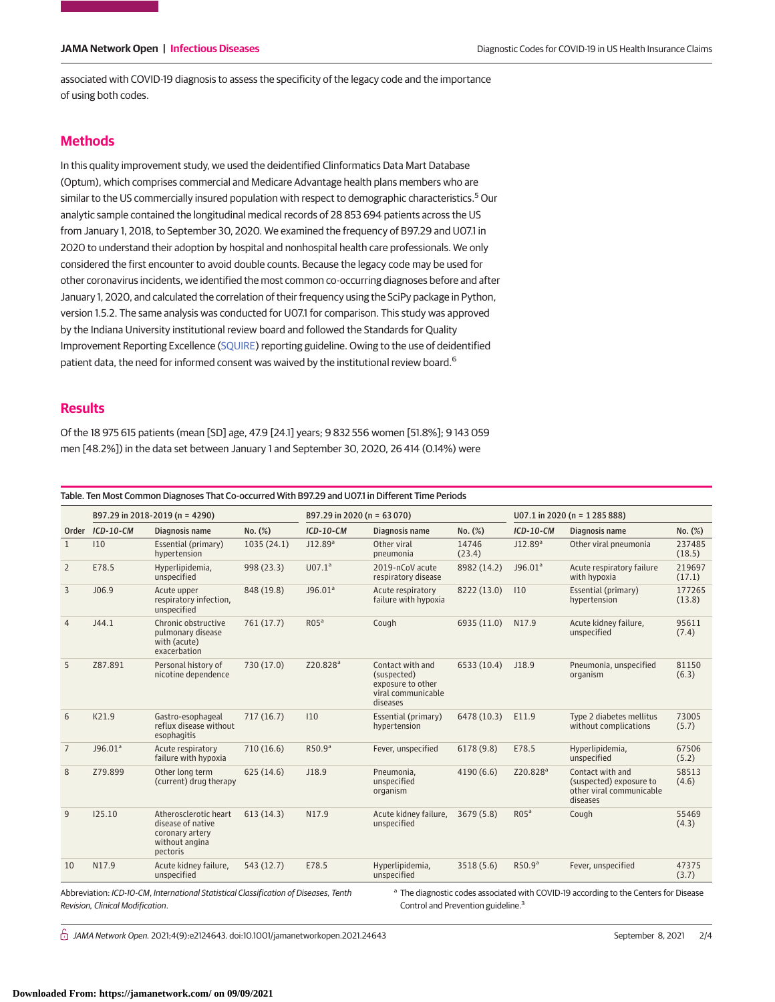associated with COVID-19 diagnosis to assess the specificity of the legacy code and the importance of using both codes.

## **Methods**

In this quality improvement study, we used the deidentified Clinformatics Data Mart Database (Optum), which comprises commercial and Medicare Advantage health plans members who are similar to the US commercially insured population with respect to demographic characteristics.<sup>5</sup> Our analytic sample contained the longitudinal medical records of 28 853 694 patients across the US from January 1, 2018, to September 30, 2020. We examined the frequency of B97.29 and U07.1 in 2020 to understand their adoption by hospital and nonhospital health care professionals. We only considered the first encounter to avoid double counts. Because the legacy code may be used for other coronavirus incidents, we identified the most common co-occurring diagnoses before and after January 1, 2020, and calculated the correlation of their frequency using the SciPy package in Python, version 1.5.2. The same analysis was conducted for U07.1 for comparison. This study was approved by the Indiana University institutional review board and followed the Standards for Quality Improvement Reporting Excellence [\(SQUIRE\)](https://www.equator-network.org/reporting-guidelines/squire/) reporting guideline. Owing to the use of deidentified patient data, the need for informed consent was waived by the institutional review board.<sup>6</sup>

## **Results**

Of the 18 975 615 patients (mean [SD] age, 47.9 [24.1] years; 9 832 556 women [51.8%]; 9 143 059 men [48.2%]) in the data set between January 1 and September 30, 2020, 26 414 (0.14%) were

Table. Ten Most Common Diagnoses That Co-occurred With B97.29 and U07.1 in Different Time Periods Order ICD-10-CM B97.29 in 2018-2019 (n = 4290) B97.29 in 2020 (n = 63 070) U07.1 in 2020 (n = 1 285 888) ICD-10-CM Diagnosis name No. (%) ICD-10-CM Diagnosis name No. (%) ICD-10-CM Diagnosis name No. (%) 1 I10 Essential (primary) hypertension 1035 (24.1) J12.89<sup>a</sup> Other viral pneumonia 14746 (23.4) J12.89<sup>a</sup> Other viral pneumonia 237485 (18.5) 2 E78.5 Hyperlipidemia, unspecified 998 (23.3) U07.1<sup>a</sup> 2019-nCoV acute respiratory disease 8982 (14.2) J96.01<sup>a</sup> Acute respiratory failure with hypoxia 219697 (17.1) 3 J06.9 Acute upper respiratory infection, unspecified 848 (19.8) J96.01<sup>a</sup> Acute respiratory failure with hypoxia 8222 (13.0) I10 Essential (primary) hypertension 177265 (13.8) 4 J44.1 Chronic obstructive pulmonary disease with (acute) exacerbation  $761 (17.7)$  ROS<sup>a</sup> Cough 6935 (11.0) N17.9 Acute kidney failure, unspecified 95611 (7.4) 5 Z87.891 Personal history of nicotine dependence 730 (17.0) Z20.828<sup>a</sup> Contact with and (suspected) exposure to other viral communicable diseases 6533 (10.4) J18.9 Pneumonia, unspecified organism 81150 (6.3) 6 K21.9 Gastro-esophageal reflux disease without esophagitis 717 (16.7) I10 Essential (primary) hypertension 6478 (10.3) E11.9 Type 2 diabetes mellitus without complications 73005 (5.7) 7 J96.01<sup>a</sup> Acute respiratory failure with hypoxia 710 (16.6) R50.9a Fever, unspecified 6178 (9.8) E78.5 Hyperlipidemia, unspecified 67506 (5.2) 8 Z79.899 Other long term (current) drug therapy 625 (14.6) J18.9 Pneumonia, unspecified organism 4190 (6.6)  $Z20.828^a$  Contact with and (suspected) exposure to other viral communicable diseases 58513 (4.6) 9 I25.10 Atherosclerotic heart disease of native coronary artery without angina pectoris 613 (14.3) N17.9 Acute kidney failure, unspecified 3679 (5.8) R05<sup>a</sup> Cough 55469 (4.3) 10 N17.9 Acute kidney failure, unspecified 543 (12.7) E78.5 Hyperlipidemia, unspecified  $3518(5.6)$  R50.9<sup>a</sup> Fever, unspecified 47375 (3.7)

Abbreviation: ICD-10-CM, International Statistical Classification of Diseases, Tenth Revision, Clinical Modification.

<sup>a</sup> The diagnostic codes associated with COVID-19 according to the Centers for Disease Control and Prevention guideline.<sup>3</sup>

 $\bigcap$  JAMA Network Open. 2021;4(9):e2124643. doi:10.1001/jamanetworkopen.2021.24643 September 8, 2021 2/4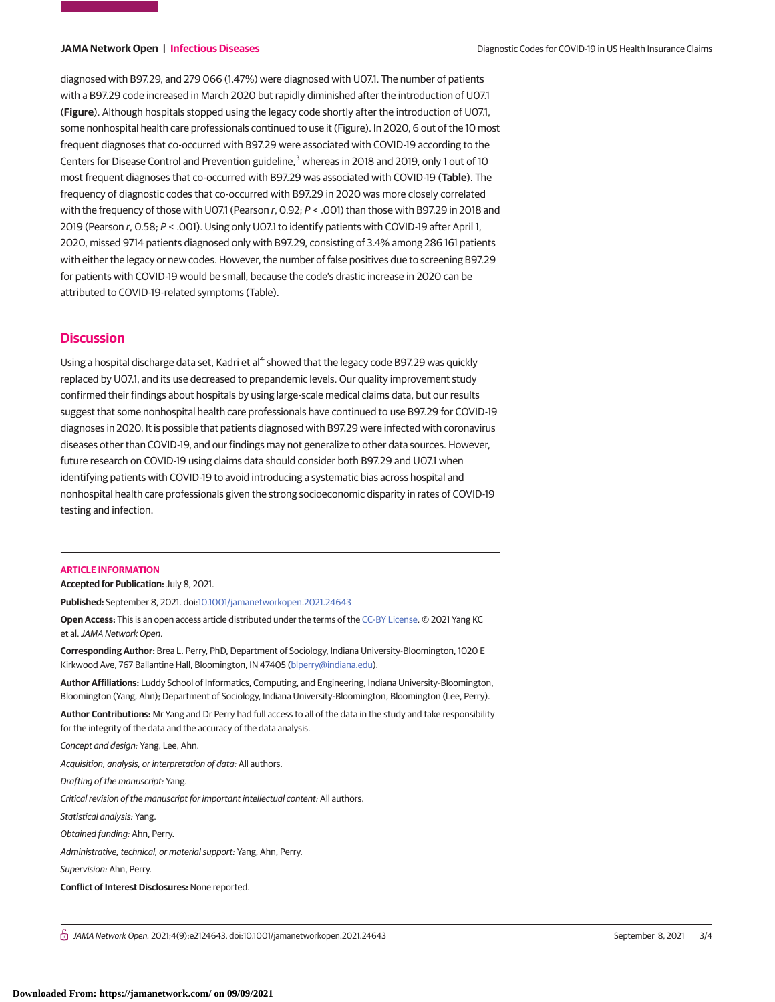diagnosed with B97.29, and 279 066 (1.47%) were diagnosed with U07.1. The number of patients with a B97.29 code increased in March 2020 but rapidly diminished after the introduction of U07.1 (**Figure**). Although hospitals stopped using the legacy code shortly after the introduction of U07.1, some nonhospital health care professionals continued to use it (Figure). In 2020, 6 out of the 10 most frequent diagnoses that co-occurred with B97.29 were associated with COVID-19 according to the Centers for Disease Control and Prevention guideline,<sup>3</sup> whereas in 2018 and 2019, only 1 out of 10 most frequent diagnoses that co-occurred with B97.29 was associated with COVID-19 (**Table**). The frequency of diagnostic codes that co-occurred with B97.29 in 2020 was more closely correlated with the frequency of those with U07.1 (Pearson  $r$ , 0.92;  $P <$  .001) than those with B97.29 in 2018 and 2019 (Pearson r, 0.58; P < .001). Using only U07.1 to identify patients with COVID-19 after April 1, 2020, missed 9714 patients diagnosed only with B97.29, consisting of 3.4% among 286 161 patients with either the legacy or new codes. However, the number of false positives due to screening B97.29 for patients with COVID-19 would be small, because the code's drastic increase in 2020 can be attributed to COVID-19-related symptoms (Table).

### **Discussion**

Using a hospital discharge data set, Kadri et al<sup>4</sup> showed that the legacy code B97.29 was quickly replaced by U07.1, and its use decreased to prepandemic levels. Our quality improvement study confirmed their findings about hospitals by using large-scale medical claims data, but our results suggest that some nonhospital health care professionals have continued to use B97.29 for COVID-19 diagnoses in 2020. It is possible that patients diagnosed with B97.29 were infected with coronavirus diseases other than COVID-19, and our findings may not generalize to other data sources. However, future research on COVID-19 using claims data should consider both B97.29 and U07.1 when identifying patients with COVID-19 to avoid introducing a systematic bias across hospital and nonhospital health care professionals given the strong socioeconomic disparity in rates of COVID-19 testing and infection.

### **ARTICLE INFORMATION**

**Accepted for Publication:** July 8, 2021.

**Published:** September 8, 2021. doi[:10.1001/jamanetworkopen.2021.24643](https://jama.jamanetwork.com/article.aspx?doi=10.1001/jamanetworkopen.2021.24643&utm_campaign=articlePDF%26utm_medium=articlePDFlink%26utm_source=articlePDF%26utm_content=jamanetworkopen.2021.24643)

**Open Access:** This is an open access article distributed under the terms of the [CC-BY License.](https://jamanetwork.com/pages/cc-by-license-permissions/?utm_campaign=articlePDF%26utm_medium=articlePDFlink%26utm_source=articlePDF%26utm_content=jamanetworkopen.2021.24643) © 2021 Yang KC et al.JAMA Network Open.

**Corresponding Author:** Brea L. Perry, PhD, Department of Sociology, Indiana University-Bloomington, 1020 E Kirkwood Ave, 767 Ballantine Hall, Bloomington, IN 47405 [\(blperry@indiana.edu\)](mailto:blperry@indiana.edu).

**Author Affiliations:** Luddy School of Informatics, Computing, and Engineering, Indiana University-Bloomington, Bloomington (Yang, Ahn); Department of Sociology, Indiana University-Bloomington, Bloomington (Lee, Perry).

**Author Contributions:** Mr Yang and Dr Perry had full access to all of the data in the study and take responsibility for the integrity of the data and the accuracy of the data analysis.

Concept and design: Yang, Lee, Ahn.

Acquisition, analysis, or interpretation of data: All authors.

Drafting of the manuscript: Yang.

Critical revision of the manuscript for important intellectual content: All authors.

Statistical analysis: Yang.

Obtained funding: Ahn, Perry.

Administrative, technical, or material support: Yang, Ahn, Perry.

Supervision: Ahn, Perry.

**Conflict of Interest Disclosures:** None reported.

 $\bigcap$  JAMA Network Open. 2021;4(9):e2124643. doi:10.1001/jamanetworkopen.2021.24643 September 8, 2021 3/4